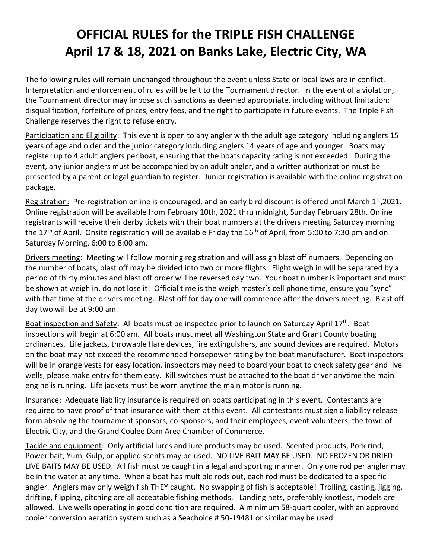## **OFFICIAL RULES for the TRIPLE FISH CHALLENGE April 17 & 18, 2021 on Banks Lake, Electric City, WA**

The following rules will remain unchanged throughout the event unless State or local laws are in conflict. Interpretation and enforcement of rules will be left to the Tournament director. In the event of a violation, the Tournament director may impose such sanctions as deemed appropriate, including without limitation: disqualification, forfeiture of prizes, entry fees, and the right to participate in future events. The Triple Fish Challenge reserves the right to refuse entry.

Participation and Eligibility: This event is open to any angler with the adult age category including anglers 15 years of age and older and the junior category including anglers 14 years of age and younger. Boats may register up to 4 adult anglers per boat, ensuring that the boats capacity rating is not exceeded. During the event, any junior anglers must be accompanied by an adult angler, and a written authorization must be presented by a parent or legal guardian to register. Junior registration is available with the online registration package.

Registration: Pre-registration online is encouraged, and an early bird discount is offered until March  $1<sup>st</sup>$ ,2021. Online registration will be available from February 10th, 2021 thru midnight, Sunday February 28th. Online registrants will receive their derby tickets with their boat numbers at the drivers meeting Saturday morning the 17<sup>th</sup> of April. Onsite registration will be available Friday the 16<sup>th</sup> of April, from 5:00 to 7:30 pm and on Saturday Morning, 6:00 to 8:00 am.

Drivers meeting: Meeting will follow morning registration and will assign blast off numbers. Depending on the number of boats, blast off may be divided into two or more flights. Flight weigh in will be separated by a period of thirty minutes and blast off order will be reversed day two. Your boat number is important and must be shown at weigh in, do not lose it! Official time is the weigh master's cell phone time, ensure you "sync" with that time at the drivers meeting. Blast off for day one will commence after the drivers meeting. Blast off day two will be at 9:00 am.

Boat inspection and Safety: All boats must be inspected prior to launch on Saturday April 17<sup>th</sup>. Boat inspections will begin at 6:00 am. All boats must meet all Washington State and Grant County boating ordinances. Life jackets, throwable flare devices, fire extinguishers, and sound devices are required. Motors on the boat may not exceed the recommended horsepower rating by the boat manufacturer. Boat inspectors will be in orange vests for easy location, inspectors may need to board your boat to check safety gear and live wells, please make entry for them easy. Kill switches must be attached to the boat driver anytime the main engine is running. Life jackets must be worn anytime the main motor is running.

Insurance: Adequate liability insurance is required on boats participating in this event. Contestants are required to have proof of that insurance with them at this event. All contestants must sign a liability release form absolving the tournament sponsors, co-sponsors, and their employees, event volunteers, the town of Electric City, and the Grand Coulee Dam Area Chamber of Commerce.

Tackle and equipment: Only artificial lures and lure products may be used. Scented products, Pork rind, Power bait, Yum, Gulp, or applied scents may be used. NO LIVE BAIT MAY BE USED. NO FROZEN OR DRIED LIVE BAITS MAY BE USED. All fish must be caught in a legal and sporting manner. Only one rod per angler may be in the water at any time. When a boat has multiple rods out, each rod must be dedicated to a specific angler. Anglers may only weigh fish THEY caught. No swapping of fish is acceptable! Trolling, casting, jigging, drifting, flipping, pitching are all acceptable fishing methods. Landing nets, preferably knotless, models are allowed. Live wells operating in good condition are required. A minimum 58-quart cooler, with an approved cooler conversion aeration system such as a Seachoice # 50-19481 or similar may be used.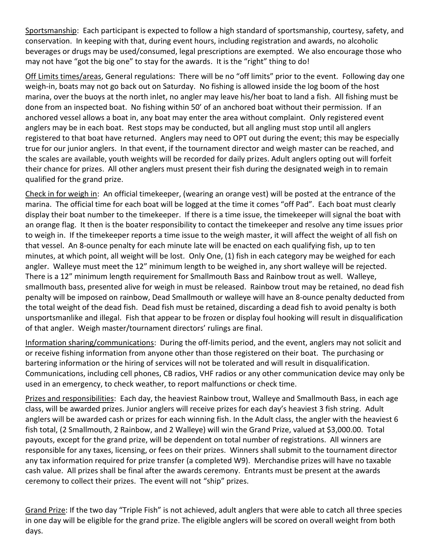Sportsmanship: Each participant is expected to follow a high standard of sportsmanship, courtesy, safety, and conservation. In keeping with that, during event hours, including registration and awards, no alcoholic beverages or drugs may be used/consumed, legal prescriptions are exempted. We also encourage those who may not have "got the big one" to stay for the awards. It is the "right" thing to do!

Off Limits times/areas, General regulations: There will be no "off limits" prior to the event. Following day one weigh-in, boats may not go back out on Saturday. No fishing is allowed inside the log boom of the host marina, over the buoys at the north inlet, no angler may leave his/her boat to land a fish. All fishing must be done from an inspected boat. No fishing within 50' of an anchored boat without their permission. If an anchored vessel allows a boat in, any boat may enter the area without complaint. Only registered event anglers may be in each boat. Rest stops may be conducted, but all angling must stop until all anglers registered to that boat have returned. Anglers may need to OPT out during the event; this may be especially true for our junior anglers. In that event, if the tournament director and weigh master can be reached, and the scales are available, youth weights will be recorded for daily prizes. Adult anglers opting out will forfeit their chance for prizes. All other anglers must present their fish during the designated weigh in to remain qualified for the grand prize.

Check in for weigh in: An official timekeeper, (wearing an orange vest) will be posted at the entrance of the marina. The official time for each boat will be logged at the time it comes "off Pad". Each boat must clearly display their boat number to the timekeeper. If there is a time issue, the timekeeper will signal the boat with an orange flag. It then is the boater responsibility to contact the timekeeper and resolve any time issues prior to weigh in. If the timekeeper reports a time issue to the weigh master, it will affect the weight of all fish on that vessel. An 8-ounce penalty for each minute late will be enacted on each qualifying fish, up to ten minutes, at which point, all weight will be lost. Only One, (1) fish in each category may be weighed for each angler. Walleye must meet the 12" minimum length to be weighed in, any short walleye will be rejected. There is a 12" minimum length requirement for Smallmouth Bass and Rainbow trout as well. Walleye, smallmouth bass, presented alive for weigh in must be released. Rainbow trout may be retained, no dead fish penalty will be imposed on rainbow, Dead Smallmouth or walleye will have an 8-ounce penalty deducted from the total weight of the dead fish. Dead fish must be retained, discarding a dead fish to avoid penalty is both unsportsmanlike and illegal. Fish that appear to be frozen or display foul hooking will result in disqualification of that angler. Weigh master/tournament directors' rulings are final.

Information sharing/communications: During the off-limits period, and the event, anglers may not solicit and or receive fishing information from anyone other than those registered on their boat. The purchasing or bartering information or the hiring of services will not be tolerated and will result in disqualification. Communications, including cell phones, CB radios, VHF radios or any other communication device may only be used in an emergency, to check weather, to report malfunctions or check time.

Prizes and responsibilities: Each day, the heaviest Rainbow trout, Walleye and Smallmouth Bass, in each age class, will be awarded prizes. Junior anglers will receive prizes for each day's heaviest 3 fish string. Adult anglers will be awarded cash or prizes for each winning fish. In the Adult class, the angler with the heaviest 6 fish total, (2 Smallmouth, 2 Rainbow, and 2 Walleye) will win the Grand Prize, valued at \$3,000.00. Total payouts, except for the grand prize, will be dependent on total number of registrations. All winners are responsible for any taxes, licensing, or fees on their prizes. Winners shall submit to the tournament director any tax information required for prize transfer (a completed W9). Merchandise prizes will have no taxable cash value. All prizes shall be final after the awards ceremony. Entrants must be present at the awards ceremony to collect their prizes. The event will not "ship" prizes.

Grand Prize: If the two day "Triple Fish" is not achieved, adult anglers that were able to catch all three species in one day will be eligible for the grand prize. The eligible anglers will be scored on overall weight from both days.